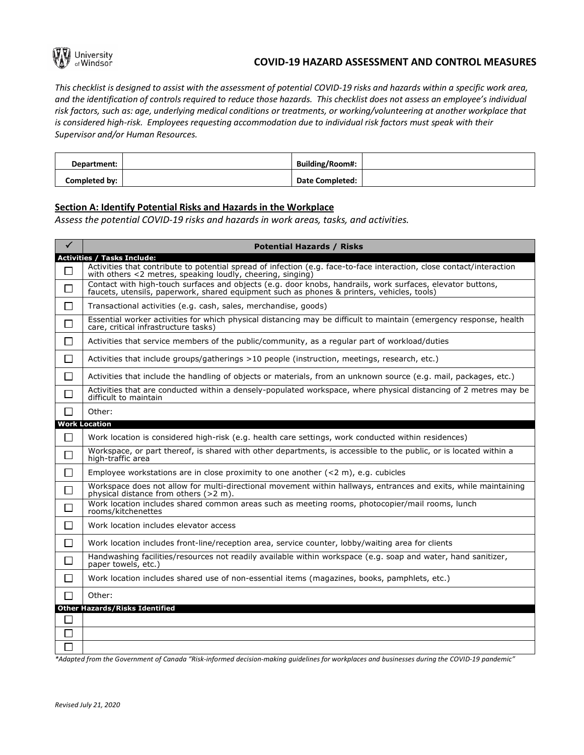

## **COVID-19 HAZARD ASSESSMENT AND CONTROL MEASURES**

*This checklist is designed to assist with the assessment of potential COVID-19 risks and hazards within a specific work area, and the identification of controls required to reduce those hazards. This checklist does not assess an employee's individual risk factors, such as: age, underlying medical conditions or treatments, or working/volunteering at another workplace that is considered high-risk. Employees requesting accommodation due to individual risk factors must speak with their Supervisor and/or Human Resources.*

| Department:   | <b>Building/Room#:</b> |  |
|---------------|------------------------|--|
| Completed by: | <b>Date Completed:</b> |  |

### **Section A: Identify Potential Risks and Hazards in the Workplace**

*Assess the potential COVID-19 risks and hazards in work areas, tasks, and activities.*

| $\checkmark$   | <b>Potential Hazards / Risks</b>                                                                                                                                                                         |
|----------------|----------------------------------------------------------------------------------------------------------------------------------------------------------------------------------------------------------|
|                | <b>Activities / Tasks Include:</b>                                                                                                                                                                       |
| П              | Activities that contribute to potential spread of infection (e.g. face-to-face interaction, close contact/interaction<br>with others <2 metres, speaking loudly, cheering, singing)                      |
| □              | Contact with high-touch surfaces and objects (e.g. door knobs, handrails, work surfaces, elevator buttons,<br>faucets, utensils, paperwork, shared equipment such as phones & printers, vehicles, tools) |
| $\mathsf{L}$   | Transactional activities (e.g. cash, sales, merchandise, goods)                                                                                                                                          |
| П              | Essential worker activities for which physical distancing may be difficult to maintain (emergency response, health<br>care, critical infrastructure tasks)                                               |
| $\blacksquare$ | Activities that service members of the public/community, as a regular part of workload/duties                                                                                                            |
| $\Box$         | Activities that include groups/gatherings >10 people (instruction, meetings, research, etc.)                                                                                                             |
| ΙI             | Activities that include the handling of objects or materials, from an unknown source (e.g. mail, packages, etc.)                                                                                         |
| $\mathsf{L}$   | Activities that are conducted within a densely-populated workspace, where physical distancing of 2 metres may be<br>difficult to maintain                                                                |
| $\blacksquare$ | Other:                                                                                                                                                                                                   |
|                | <b>Work Location</b>                                                                                                                                                                                     |
| П              | Work location is considered high-risk (e.g. health care settings, work conducted within residences)                                                                                                      |
| П              | Workspace, or part thereof, is shared with other departments, is accessible to the public, or is located within a<br>high-traffic area                                                                   |
| $\blacksquare$ | Employee workstations are in close proximity to one another $(< 2 m)$ , e.g. cubicles                                                                                                                    |
| П              | Workspace does not allow for multi-directional movement within hallways, entrances and exits, while maintaining<br>physical distance from others (>2 m).                                                 |
| $\Box$         | Work location includes shared common areas such as meeting rooms, photocopier/mail rooms, lunch<br>rooms/kitchenettes                                                                                    |
| $\Box$         | Work location includes elevator access                                                                                                                                                                   |
| $\Box$         | Work location includes front-line/reception area, service counter, lobby/waiting area for clients                                                                                                        |
| П              | Handwashing facilities/resources not readily available within workspace (e.g. soap and water, hand sanitizer,<br>paper towels, etc.)                                                                     |
| $\blacksquare$ | Work location includes shared use of non-essential items (magazines, books, pamphlets, etc.)                                                                                                             |
| $\Box$         | Other:                                                                                                                                                                                                   |
|                | <b>Other Hazards/Risks Identified</b>                                                                                                                                                                    |
| $\mathsf{L}$   |                                                                                                                                                                                                          |
|                |                                                                                                                                                                                                          |
|                |                                                                                                                                                                                                          |

*\*Adapted from the Government of Canada "Risk-informed decision-making guidelines for workplaces and businesses during the COVID-19 pandemic"*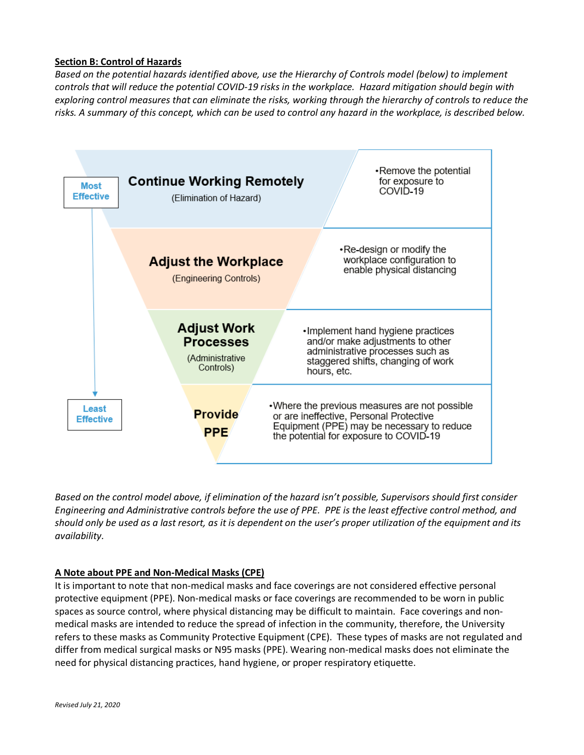## **Section B: Control of Hazards**

*Based on the potential hazards identified above, use the Hierarchy of Controls model (below) to implement controls that will reduce the potential COVID-19 risks in the workplace. Hazard mitigation should begin with exploring control measures that can eliminate the risks, working through the hierarchy of controls to reduce the risks. A summary of this concept, which can be used to control any hazard in the workplace, is described below.*



*Based on the control model above, if elimination of the hazard isn't possible, Supervisors should first consider Engineering and Administrative controls before the use of PPE. PPE is the least effective control method, and should only be used as a last resort, as it is dependent on the user's proper utilization of the equipment and its availability.*

# **A Note about PPE and Non-Medical Masks (CPE)**

It is important to note that non-medical masks and face coverings are not considered effective personal protective equipment (PPE). Non-medical masks or face coverings are recommended to be worn in public spaces as source control, where physical distancing may be difficult to maintain. Face coverings and nonmedical masks are intended to reduce the spread of infection in the community, therefore, the University refers to these masks as Community Protective Equipment (CPE). These types of masks are not regulated and differ from medical surgical masks or N95 masks (PPE). Wearing non-medical masks does not eliminate the need for physical distancing practices, hand hygiene, or proper respiratory etiquette.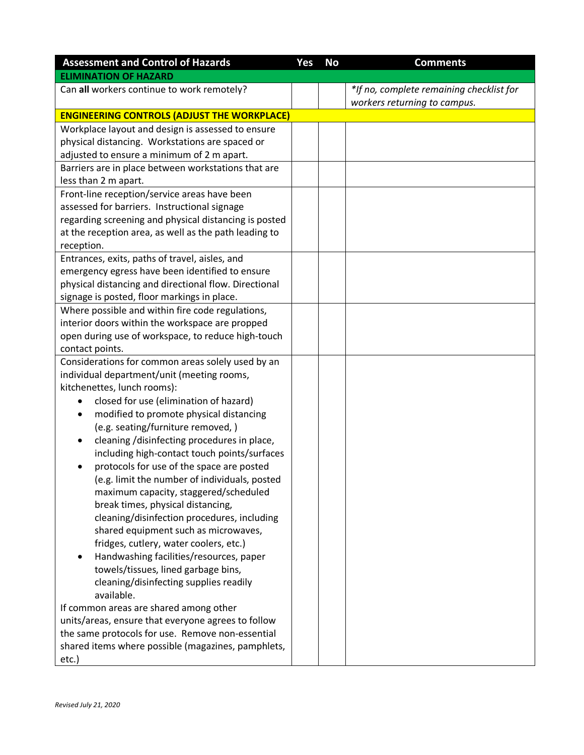| <b>Assessment and Control of Hazards</b>                                    | Yes | <b>No</b> | <b>Comments</b>                          |  |
|-----------------------------------------------------------------------------|-----|-----------|------------------------------------------|--|
| <b>ELIMINATION OF HAZARD</b>                                                |     |           |                                          |  |
| Can all workers continue to work remotely?                                  |     |           | *If no, complete remaining checklist for |  |
|                                                                             |     |           | workers returning to campus.             |  |
| <b>ENGINEERING CONTROLS (ADJUST THE WORKPLACE)</b>                          |     |           |                                          |  |
| Workplace layout and design is assessed to ensure                           |     |           |                                          |  |
| physical distancing. Workstations are spaced or                             |     |           |                                          |  |
| adjusted to ensure a minimum of 2 m apart.                                  |     |           |                                          |  |
| Barriers are in place between workstations that are<br>less than 2 m apart. |     |           |                                          |  |
| Front-line reception/service areas have been                                |     |           |                                          |  |
| assessed for barriers. Instructional signage                                |     |           |                                          |  |
| regarding screening and physical distancing is posted                       |     |           |                                          |  |
| at the reception area, as well as the path leading to                       |     |           |                                          |  |
| reception.                                                                  |     |           |                                          |  |
| Entrances, exits, paths of travel, aisles, and                              |     |           |                                          |  |
| emergency egress have been identified to ensure                             |     |           |                                          |  |
| physical distancing and directional flow. Directional                       |     |           |                                          |  |
| signage is posted, floor markings in place.                                 |     |           |                                          |  |
| Where possible and within fire code regulations,                            |     |           |                                          |  |
| interior doors within the workspace are propped                             |     |           |                                          |  |
| open during use of workspace, to reduce high-touch                          |     |           |                                          |  |
| contact points.                                                             |     |           |                                          |  |
| Considerations for common areas solely used by an                           |     |           |                                          |  |
| individual department/unit (meeting rooms,                                  |     |           |                                          |  |
| kitchenettes, lunch rooms):                                                 |     |           |                                          |  |
| closed for use (elimination of hazard)                                      |     |           |                                          |  |
| modified to promote physical distancing                                     |     |           |                                          |  |
| (e.g. seating/furniture removed,)                                           |     |           |                                          |  |
| cleaning /disinfecting procedures in place,                                 |     |           |                                          |  |
| including high-contact touch points/surfaces                                |     |           |                                          |  |
| protocols for use of the space are posted                                   |     |           |                                          |  |
| (e.g. limit the number of individuals, posted                               |     |           |                                          |  |
| maximum capacity, staggered/scheduled                                       |     |           |                                          |  |
| break times, physical distancing,                                           |     |           |                                          |  |
| cleaning/disinfection procedures, including                                 |     |           |                                          |  |
| shared equipment such as microwaves,                                        |     |           |                                          |  |
| fridges, cutlery, water coolers, etc.)                                      |     |           |                                          |  |
| Handwashing facilities/resources, paper                                     |     |           |                                          |  |
| towels/tissues, lined garbage bins,                                         |     |           |                                          |  |
| cleaning/disinfecting supplies readily<br>available.                        |     |           |                                          |  |
| If common areas are shared among other                                      |     |           |                                          |  |
| units/areas, ensure that everyone agrees to follow                          |     |           |                                          |  |
| the same protocols for use. Remove non-essential                            |     |           |                                          |  |
| shared items where possible (magazines, pamphlets,                          |     |           |                                          |  |
| etc.)                                                                       |     |           |                                          |  |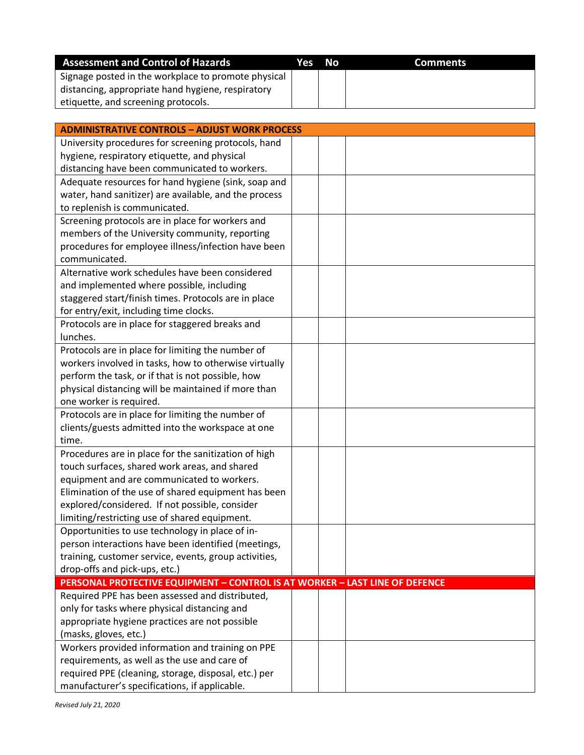| <b>Assessment and Control of Hazards</b>            | Yes No | <b>Comments</b> |
|-----------------------------------------------------|--------|-----------------|
| Signage posted in the workplace to promote physical |        |                 |
| distancing, appropriate hand hygiene, respiratory   |        |                 |
| etiquette, and screening protocols.                 |        |                 |

| <b>ADMINISTRATIVE CONTROLS - ADJUST WORK PROCESS</b>                        |  |
|-----------------------------------------------------------------------------|--|
| University procedures for screening protocols, hand                         |  |
| hygiene, respiratory etiquette, and physical                                |  |
| distancing have been communicated to workers.                               |  |
| Adequate resources for hand hygiene (sink, soap and                         |  |
| water, hand sanitizer) are available, and the process                       |  |
| to replenish is communicated.                                               |  |
| Screening protocols are in place for workers and                            |  |
| members of the University community, reporting                              |  |
| procedures for employee illness/infection have been                         |  |
| communicated.                                                               |  |
| Alternative work schedules have been considered                             |  |
| and implemented where possible, including                                   |  |
| staggered start/finish times. Protocols are in place                        |  |
| for entry/exit, including time clocks.                                      |  |
| Protocols are in place for staggered breaks and                             |  |
| lunches.                                                                    |  |
| Protocols are in place for limiting the number of                           |  |
| workers involved in tasks, how to otherwise virtually                       |  |
| perform the task, or if that is not possible, how                           |  |
| physical distancing will be maintained if more than                         |  |
| one worker is required.                                                     |  |
| Protocols are in place for limiting the number of                           |  |
| clients/guests admitted into the workspace at one                           |  |
| time.                                                                       |  |
| Procedures are in place for the sanitization of high                        |  |
| touch surfaces, shared work areas, and shared                               |  |
| equipment and are communicated to workers.                                  |  |
| Elimination of the use of shared equipment has been                         |  |
| explored/considered. If not possible, consider                              |  |
| limiting/restricting use of shared equipment.                               |  |
| Opportunities to use technology in place of in-                             |  |
| person interactions have been identified (meetings,                         |  |
| training, customer service, events, group activities,                       |  |
| drop-offs and pick-ups, etc.)                                               |  |
| PERSONAL PROTECTIVE EQUIPMENT - CONTROL IS AT WORKER - LAST LINE OF DEFENCE |  |
| Required PPE has been assessed and distributed,                             |  |
| only for tasks where physical distancing and                                |  |
| appropriate hygiene practices are not possible                              |  |
| (masks, gloves, etc.)                                                       |  |
| Workers provided information and training on PPE                            |  |
| requirements, as well as the use and care of                                |  |
| required PPE (cleaning, storage, disposal, etc.) per                        |  |
| manufacturer's specifications, if applicable.                               |  |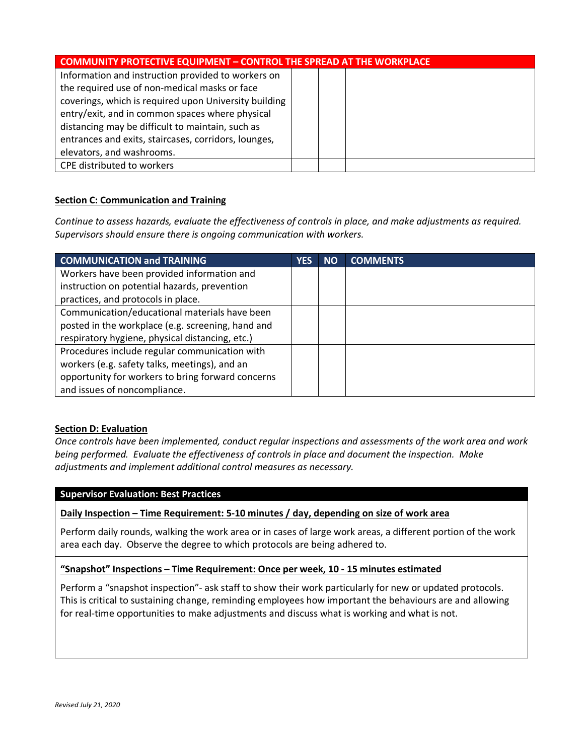| <b>COMMUNITY PROTECTIVE EQUIPMENT - CONTROL THE SPREAD AT THE WORKPLACE</b> |  |  |  |
|-----------------------------------------------------------------------------|--|--|--|
| Information and instruction provided to workers on                          |  |  |  |
| the required use of non-medical masks or face                               |  |  |  |
| coverings, which is required upon University building                       |  |  |  |
| entry/exit, and in common spaces where physical                             |  |  |  |
| distancing may be difficult to maintain, such as                            |  |  |  |
| entrances and exits, staircases, corridors, lounges,                        |  |  |  |
| elevators, and washrooms.                                                   |  |  |  |
| CPE distributed to workers                                                  |  |  |  |

## **Section C: Communication and Training**

*Continue to assess hazards, evaluate the effectiveness of controls in place, and make adjustments as required. Supervisors should ensure there is ongoing communication with workers.*

| <b>COMMUNICATION and TRAINING</b>                 | YES | <b>NO</b> | <b>COMMENTS</b> |
|---------------------------------------------------|-----|-----------|-----------------|
| Workers have been provided information and        |     |           |                 |
| instruction on potential hazards, prevention      |     |           |                 |
| practices, and protocols in place.                |     |           |                 |
| Communication/educational materials have been     |     |           |                 |
| posted in the workplace (e.g. screening, hand and |     |           |                 |
| respiratory hygiene, physical distancing, etc.)   |     |           |                 |
| Procedures include regular communication with     |     |           |                 |
| workers (e.g. safety talks, meetings), and an     |     |           |                 |
| opportunity for workers to bring forward concerns |     |           |                 |
| and issues of noncompliance.                      |     |           |                 |

#### **Section D: Evaluation**

*Once controls have been implemented, conduct regular inspections and assessments of the work area and work being performed. Evaluate the effectiveness of controls in place and document the inspection. Make adjustments and implement additional control measures as necessary.*

#### **Supervisor Evaluation: Best Practices**

## **Daily Inspection – Time Requirement: 5-10 minutes / day, depending on size of work area**

Perform daily rounds, walking the work area or in cases of large work areas, a different portion of the work area each day. Observe the degree to which protocols are being adhered to.

#### **"Snapshot" Inspections – Time Requirement: Once per week, 10 - 15 minutes estimated**

Perform a "snapshot inspection"- ask staff to show their work particularly for new or updated protocols. This is critical to sustaining change, reminding employees how important the behaviours are and allowing for real-time opportunities to make adjustments and discuss what is working and what is not.